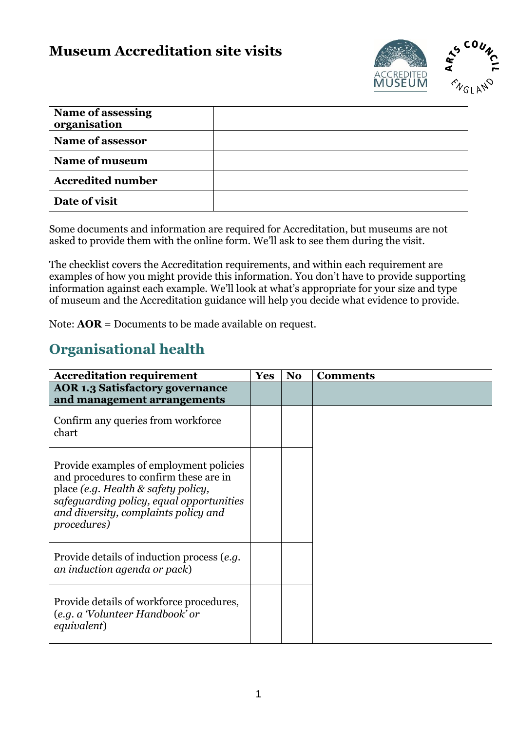### **Museum Accreditation site visits**



| <b>Name of assessing</b><br>organisation |  |
|------------------------------------------|--|
| <b>Name of assessor</b>                  |  |
| Name of museum                           |  |
| <b>Accredited number</b>                 |  |
| Date of visit                            |  |

Some documents and information are required for Accreditation, but museums are not asked to provide them with the online form. We'll ask to see them during the visit.

The checklist covers the Accreditation requirements, and within each requirement are examples of how you might provide this information. You don't have to provide supporting information against each example. We'll look at what's appropriate for your size and type of museum and the Accreditation guidance will help you decide what evidence to provide.

Note: **AOR** = Documents to be made available on request.

## **Organisational health**

| <b>Accreditation requirement</b>                                                                                                                                                                                            | <b>Yes</b> | No | <b>Comments</b> |
|-----------------------------------------------------------------------------------------------------------------------------------------------------------------------------------------------------------------------------|------------|----|-----------------|
| <b>AOR 1.3 Satisfactory governance</b><br>and management arrangements                                                                                                                                                       |            |    |                 |
| Confirm any queries from workforce<br>chart                                                                                                                                                                                 |            |    |                 |
| Provide examples of employment policies<br>and procedures to confirm these are in<br>place (e.g. Health & safety policy,<br>safeguarding policy, equal opportunities<br>and diversity, complaints policy and<br>procedures) |            |    |                 |
| Provide details of induction process (e.g.<br>an induction agenda or pack)                                                                                                                                                  |            |    |                 |
| Provide details of workforce procedures,<br>(e.g. a 'Volunteer Handbook' or<br>equivalent)                                                                                                                                  |            |    |                 |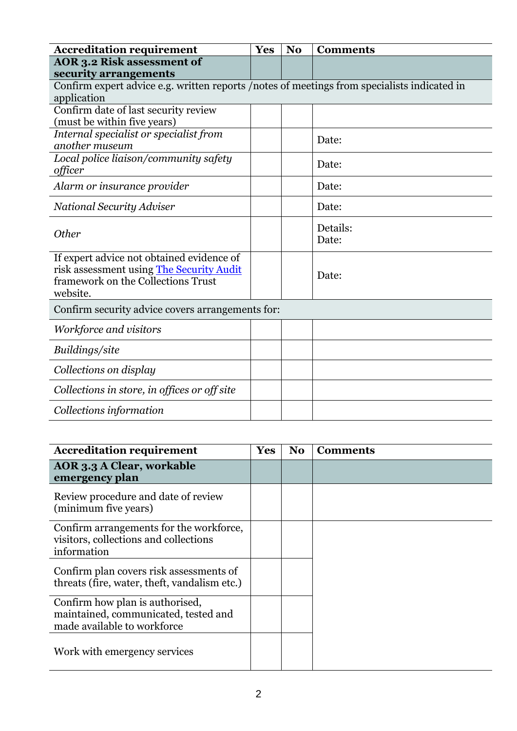| <b>Accreditation requirement</b>                                                                                                        | Yes | N <sub>o</sub> | <b>Comments</b>   |
|-----------------------------------------------------------------------------------------------------------------------------------------|-----|----------------|-------------------|
| AOR 3.2 Risk assessment of                                                                                                              |     |                |                   |
| security arrangements                                                                                                                   |     |                |                   |
| Confirm expert advice e.g. written reports /notes of meetings from specialists indicated in                                             |     |                |                   |
| application                                                                                                                             |     |                |                   |
| Confirm date of last security review<br>(must be within five years)                                                                     |     |                |                   |
| Internal specialist or specialist from<br>another museum                                                                                |     |                | Date:             |
| Local police liaison/community safety<br>officer                                                                                        |     |                | Date:             |
| Alarm or insurance provider                                                                                                             |     |                | Date:             |
| <b>National Security Adviser</b>                                                                                                        |     |                | Date:             |
| <b>Other</b>                                                                                                                            |     |                | Details:<br>Date: |
| If expert advice not obtained evidence of<br>risk assessment using The Security Audit<br>framework on the Collections Trust<br>website. |     |                | Date:             |
| Confirm security advice covers arrangements for:                                                                                        |     |                |                   |
| Workforce and visitors                                                                                                                  |     |                |                   |
| Buildings/site                                                                                                                          |     |                |                   |
| Collections on display                                                                                                                  |     |                |                   |
| Collections in store, in offices or off site                                                                                            |     |                |                   |
| Collections information                                                                                                                 |     |                |                   |

| <b>Accreditation requirement</b>                                                                       | Yes | No | <b>Comments</b> |
|--------------------------------------------------------------------------------------------------------|-----|----|-----------------|
| AOR 3.3 A Clear, workable<br>emergency plan                                                            |     |    |                 |
| Review procedure and date of review<br>(minimum five years)                                            |     |    |                 |
| Confirm arrangements for the workforce,<br>visitors, collections and collections<br>information        |     |    |                 |
| Confirm plan covers risk assessments of<br>threats (fire, water, theft, vandalism etc.)                |     |    |                 |
| Confirm how plan is authorised,<br>maintained, communicated, tested and<br>made available to workforce |     |    |                 |
| Work with emergency services                                                                           |     |    |                 |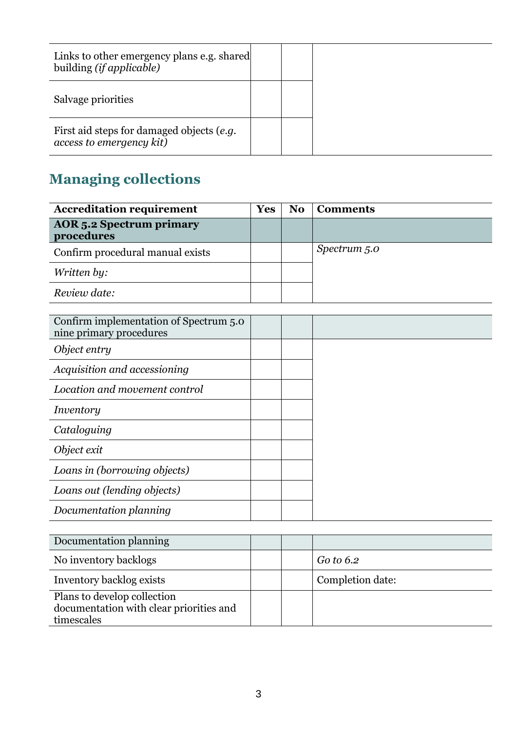| Links to other emergency plans e.g. shared<br>building (if applicable) |  |
|------------------------------------------------------------------------|--|
| Salvage priorities                                                     |  |
| First aid steps for damaged objects (e.g.<br>access to emergency kit)  |  |

# **Managing collections**

| <b>Accreditation requirement</b>                                  | <b>Yes</b> | N <sub>0</sub> | <b>Comments</b> |
|-------------------------------------------------------------------|------------|----------------|-----------------|
| <b>AOR</b> 5.2 Spectrum primary<br>procedures                     |            |                |                 |
| Confirm procedural manual exists                                  |            |                | Spectrum 5.0    |
| Written by:                                                       |            |                |                 |
| Review date:                                                      |            |                |                 |
|                                                                   |            |                |                 |
| Confirm implementation of Spectrum 5.0<br>nine primary procedures |            |                |                 |
| Object entry                                                      |            |                |                 |
| Acquisition and accessioning                                      |            |                |                 |
| Location and movement control                                     |            |                |                 |
| Inventory                                                         |            |                |                 |
| Cataloguing                                                       |            |                |                 |
| Object exit                                                       |            |                |                 |
| Loans in (borrowing objects)                                      |            |                |                 |
| Loans out (lending objects)                                       |            |                |                 |
| Documentation planning                                            |            |                |                 |
|                                                                   |            |                |                 |

| Documentation planning                                                               |  |                  |
|--------------------------------------------------------------------------------------|--|------------------|
| No inventory backlogs                                                                |  | Go to 6.2        |
| Inventory backlog exists                                                             |  | Completion date: |
| Plans to develop collection<br>documentation with clear priorities and<br>timescales |  |                  |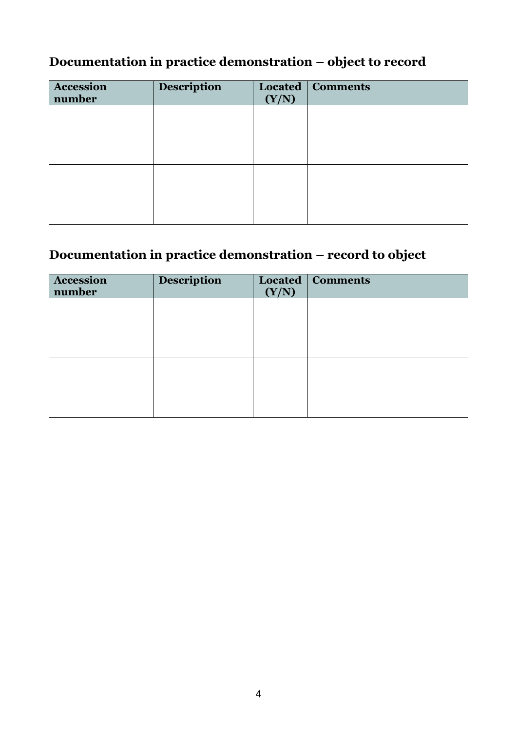#### **Documentation in practice demonstration – object to record**

| Accession<br>number | <b>Description</b> | (Y/N) | Located   Comments |
|---------------------|--------------------|-------|--------------------|
|                     |                    |       |                    |
|                     |                    |       |                    |
|                     |                    |       |                    |
|                     |                    |       |                    |
|                     |                    |       |                    |

### **Documentation in practice demonstration – record to object**

| <b>Accession</b><br>number | Description | (Y/N) | <b>Located   Comments</b> |
|----------------------------|-------------|-------|---------------------------|
|                            |             |       |                           |
|                            |             |       |                           |
|                            |             |       |                           |
|                            |             |       |                           |
|                            |             |       |                           |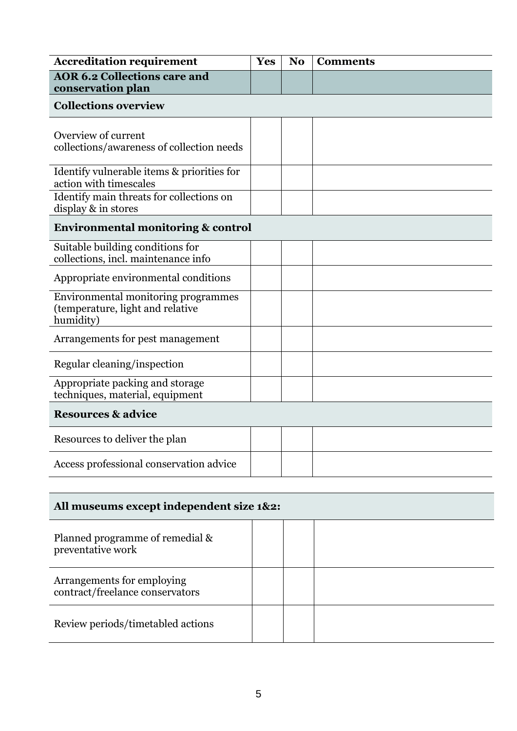| <b>Accreditation requirement</b>                                                     | Yes | N <sub>0</sub> | <b>Comments</b> |
|--------------------------------------------------------------------------------------|-----|----------------|-----------------|
| <b>AOR 6.2 Collections care and</b><br>conservation plan                             |     |                |                 |
| <b>Collections overview</b>                                                          |     |                |                 |
| Overview of current<br>collections/awareness of collection needs                     |     |                |                 |
| Identify vulnerable items & priorities for<br>action with timescales                 |     |                |                 |
| Identify main threats for collections on<br>display & in stores                      |     |                |                 |
| <b>Environmental monitoring &amp; control</b>                                        |     |                |                 |
| Suitable building conditions for<br>collections, incl. maintenance info              |     |                |                 |
| Appropriate environmental conditions                                                 |     |                |                 |
| Environmental monitoring programmes<br>(temperature, light and relative<br>humidity) |     |                |                 |
| Arrangements for pest management                                                     |     |                |                 |
| Regular cleaning/inspection                                                          |     |                |                 |
| Appropriate packing and storage<br>techniques, material, equipment                   |     |                |                 |
| <b>Resources &amp; advice</b>                                                        |     |                |                 |
| Resources to deliver the plan                                                        |     |                |                 |
| Access professional conservation advice                                              |     |                |                 |

| All museums except independent size 1&2:                      |  |  |  |
|---------------------------------------------------------------|--|--|--|
| Planned programme of remedial &<br>preventative work          |  |  |  |
| Arrangements for employing<br>contract/freelance conservators |  |  |  |
| Review periods/timetabled actions                             |  |  |  |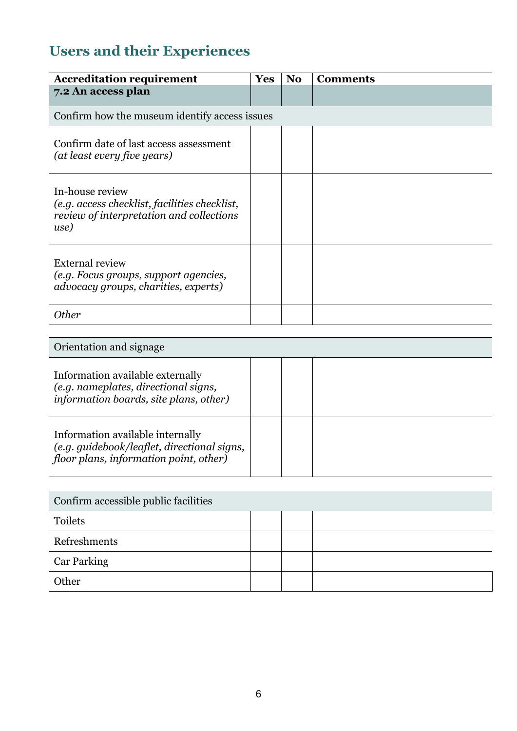# **Users and their Experiences**

| <b>Accreditation requirement</b>                                                                                          | Yes | N <sub>o</sub> | <b>Comments</b> |  |
|---------------------------------------------------------------------------------------------------------------------------|-----|----------------|-----------------|--|
| 7.2 An access plan                                                                                                        |     |                |                 |  |
| Confirm how the museum identify access issues                                                                             |     |                |                 |  |
| Confirm date of last access assessment<br>(at least every five years)                                                     |     |                |                 |  |
| In-house review<br>(e.g. access checklist, facilities checklist,<br>review of interpretation and collections<br>use)      |     |                |                 |  |
| <b>External review</b><br>(e.g. Focus groups, support agencies,<br>advocacy groups, charities, experts)                   |     |                |                 |  |
| <b>Other</b>                                                                                                              |     |                |                 |  |
|                                                                                                                           |     |                |                 |  |
| Orientation and signage                                                                                                   |     |                |                 |  |
| Information available externally<br>(e.g. nameplates, directional signs,<br>information boards, site plans, other)        |     |                |                 |  |
| Information available internally<br>(e.g. guidebook/leaflet, directional signs,<br>floor plans, information point, other) |     |                |                 |  |
|                                                                                                                           |     |                |                 |  |
| Confirm accessible public facilities                                                                                      |     |                |                 |  |
| Toilets                                                                                                                   |     |                |                 |  |
| Refreshments                                                                                                              |     |                |                 |  |
| <b>Car Parking</b>                                                                                                        |     |                |                 |  |
| Other                                                                                                                     |     |                |                 |  |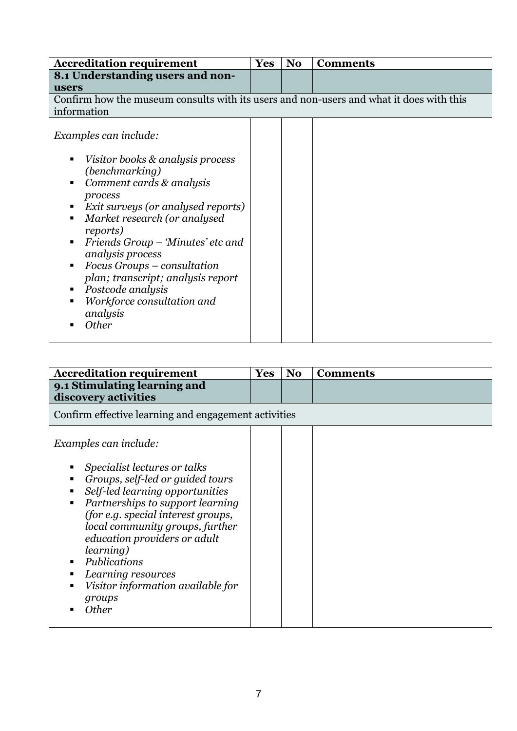| <b>Accreditation requirement</b>                                                                                                                                                                                                                                                                                                                                      | <b>Yes</b> |  | N <sub>0</sub> | <b>Comments</b> |
|-----------------------------------------------------------------------------------------------------------------------------------------------------------------------------------------------------------------------------------------------------------------------------------------------------------------------------------------------------------------------|------------|--|----------------|-----------------|
| 8.1 Understanding users and non-                                                                                                                                                                                                                                                                                                                                      |            |  |                |                 |
| users                                                                                                                                                                                                                                                                                                                                                                 |            |  |                |                 |
| Confirm how the museum consults with its users and non-users and what it does with this                                                                                                                                                                                                                                                                               |            |  |                |                 |
| information                                                                                                                                                                                                                                                                                                                                                           |            |  |                |                 |
| Examples can include:<br>Visitor books & analysis process<br>(benchmarking)<br>Comment cards & analysis<br>٠<br>process<br>Exit surveys (or analysed reports)<br>Market research (or analysed<br>٠<br>reports)<br>Friends Group - 'Minutes' etc and<br>analysis process<br>Focus Groups – consultation<br>plan; transcript; analysis report<br>Postcode analysis<br>п |            |  |                |                 |
| Workforce consultation and<br>analysis<br><b>Other</b>                                                                                                                                                                                                                                                                                                                |            |  |                |                 |
|                                                                                                                                                                                                                                                                                                                                                                       |            |  |                |                 |

| <b>Accreditation requirement</b>                                                                                                                                                                                                                                                                                                                                                                  | <b>Yes</b> | N <sub>0</sub> | <b>Comments</b> |  |  |
|---------------------------------------------------------------------------------------------------------------------------------------------------------------------------------------------------------------------------------------------------------------------------------------------------------------------------------------------------------------------------------------------------|------------|----------------|-----------------|--|--|
| 9.1 Stimulating learning and<br>discovery activities                                                                                                                                                                                                                                                                                                                                              |            |                |                 |  |  |
| Confirm effective learning and engagement activities                                                                                                                                                                                                                                                                                                                                              |            |                |                 |  |  |
| Examples can include:<br>Specialist lectures or talks<br>Groups, self-led or guided tours<br>Self-led learning opportunities<br>Partnerships to support learning<br>(for e.g. special interest groups,<br>local community groups, further<br>education providers or adult<br><i>learning</i> )<br>Publications<br>٠<br>Learning resources<br>Visitor information available for<br>groups<br>Other |            |                |                 |  |  |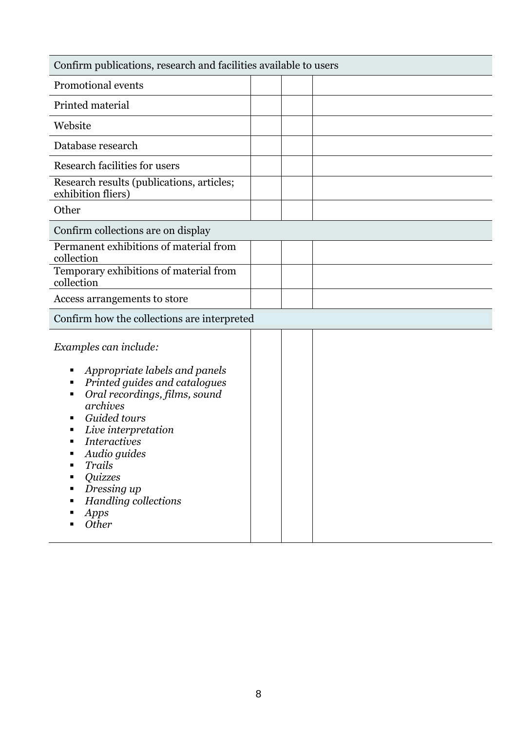| Confirm publications, research and facilities available to users                                                                                                                                                                                                                                                      |  |  |  |  |
|-----------------------------------------------------------------------------------------------------------------------------------------------------------------------------------------------------------------------------------------------------------------------------------------------------------------------|--|--|--|--|
| Promotional events                                                                                                                                                                                                                                                                                                    |  |  |  |  |
| Printed material                                                                                                                                                                                                                                                                                                      |  |  |  |  |
| Website                                                                                                                                                                                                                                                                                                               |  |  |  |  |
| Database research                                                                                                                                                                                                                                                                                                     |  |  |  |  |
| Research facilities for users                                                                                                                                                                                                                                                                                         |  |  |  |  |
| Research results (publications, articles;<br>exhibition fliers)                                                                                                                                                                                                                                                       |  |  |  |  |
| Other                                                                                                                                                                                                                                                                                                                 |  |  |  |  |
| Confirm collections are on display                                                                                                                                                                                                                                                                                    |  |  |  |  |
| Permanent exhibitions of material from<br>collection                                                                                                                                                                                                                                                                  |  |  |  |  |
| Temporary exhibitions of material from<br>collection                                                                                                                                                                                                                                                                  |  |  |  |  |
| Access arrangements to store                                                                                                                                                                                                                                                                                          |  |  |  |  |
| Confirm how the collections are interpreted                                                                                                                                                                                                                                                                           |  |  |  |  |
| Examples can include:<br>Appropriate labels and panels<br>Printed guides and catalogues<br>٠<br>Oral recordings, films, sound<br>archives<br>Guided tours<br>Live interpretation<br>Interactives<br>Audio guides<br>Trails<br>٠<br><i><b>Quizzes</b></i><br>Dressing up<br>٠<br>Handling collections<br>Apps<br>Other |  |  |  |  |